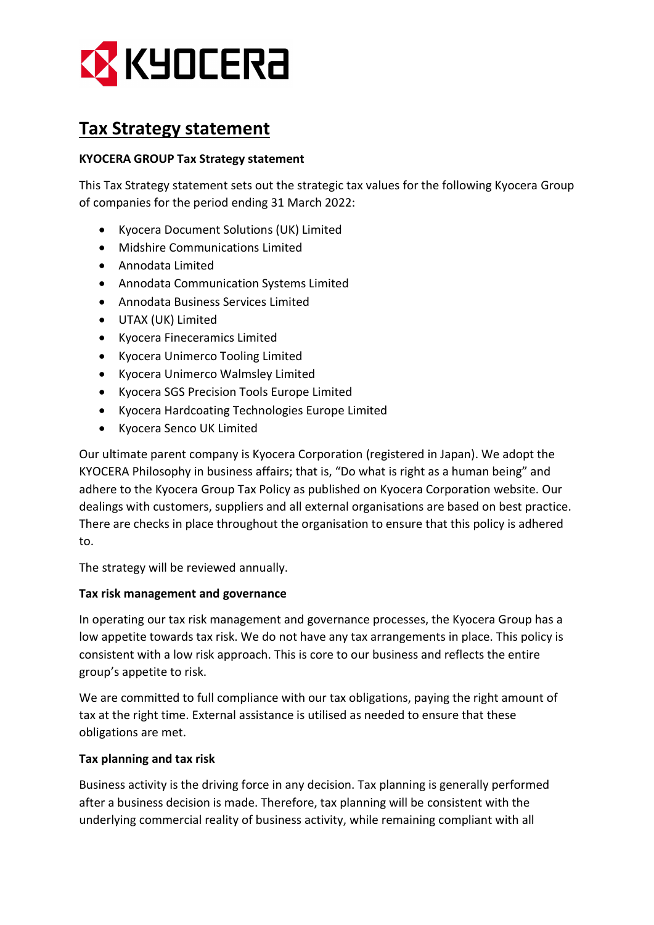

# Tax Strategy statement

## KYOCERA GROUP Tax Strategy statement

This Tax Strategy statement sets out the strategic tax values for the following Kyocera Group of companies for the period ending 31 March 2022:

- Kyocera Document Solutions (UK) Limited
- Midshire Communications Limited
- Annodata Limited
- Annodata Communication Systems Limited
- Annodata Business Services Limited
- UTAX (UK) Limited
- Kyocera Fineceramics Limited
- Kyocera Unimerco Tooling Limited
- Kyocera Unimerco Walmsley Limited
- Kyocera SGS Precision Tools Europe Limited
- Kyocera Hardcoating Technologies Europe Limited
- Kyocera Senco UK Limited

Our ultimate parent company is Kyocera Corporation (registered in Japan). We adopt the KYOCERA Philosophy in business affairs; that is, "Do what is right as a human being" and adhere to the Kyocera Group Tax Policy as published on Kyocera Corporation website. Our dealings with customers, suppliers and all external organisations are based on best practice. There are checks in place throughout the organisation to ensure that this policy is adhered to.

The strategy will be reviewed annually.

#### Tax risk management and governance

In operating our tax risk management and governance processes, the Kyocera Group has a low appetite towards tax risk. We do not have any tax arrangements in place. This policy is consistent with a low risk approach. This is core to our business and reflects the entire group's appetite to risk.

We are committed to full compliance with our tax obligations, paying the right amount of tax at the right time. External assistance is utilised as needed to ensure that these obligations are met.

## Tax planning and tax risk

Business activity is the driving force in any decision. Tax planning is generally performed after a business decision is made. Therefore, tax planning will be consistent with the underlying commercial reality of business activity, while remaining compliant with all